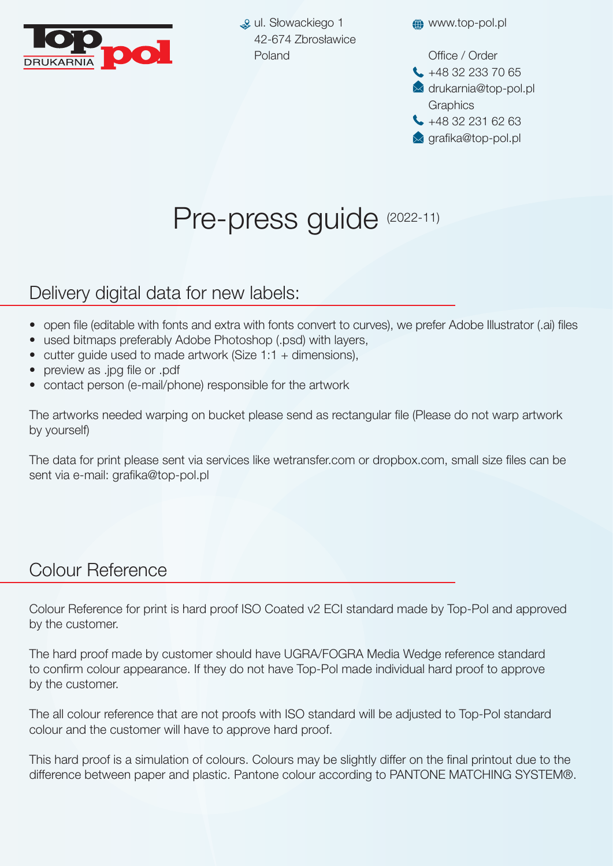

ul. Słowackiego 1 42-674 Zbrosławice Poland

**«** www.top-pol.pl

Office / Order

- $\leftarrow$  +48 32 233 70 65
- $\blacktriangleright$  drukarnia@top-pol.pl **Graphics**
- $\leftarrow$  +48 32 231 62 63
- $\bowtie$  grafika@top-pol.pl

## Pre-press guide (2022-11)

## Delivery digital data for new labels:

- open file (editable with fonts and extra with fonts convert to curves), we prefer Adobe Illustrator (.ai) files
- used bitmaps preferably Adobe Photoshop (.psd) with layers,
- cutter quide used to made artwork (Size 1:1 + dimensions),
- preview as .jpg file or .pdf
- contact person (e-mail/phone) responsible for the artwork

The artworks needed warping on bucket please send as rectangular file (Please do not warp artwork by yourself)

The data for print please sent via services like wetransfer.com or dropbox.com, small size files can be sent via e-mail: grafika@top-pol.pl

## Colour Reference

Colour Reference for print is hard proof ISO Coated v2 ECI standard made by Top-Pol and approved by the customer.

The hard proof made by customer should have UGRA/FOGRA Media Wedge reference standard to confirm colour appearance. If they do not have Top-Pol made individual hard proof to approve by the customer.

The all colour reference that are not proofs with ISO standard will be adjusted to Top-Pol standard colour and the customer will have to approve hard proof.

This hard proof is a simulation of colours. Colours may be slightly differ on the final printout due to the difference between paper and plastic. Pantone colour according to PANTONE MATCHING SYSTEM®.